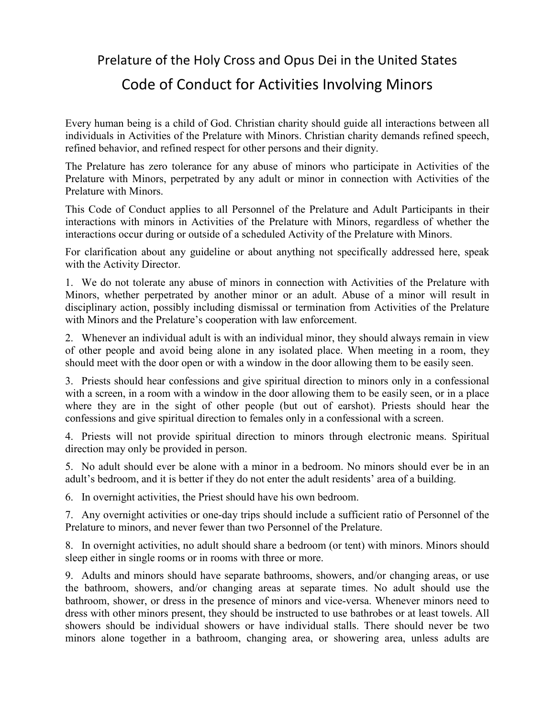Prelature of the Holy Cross and Opus Dei in the United States

## Code of Conduct for Activities Involving Minors

Every human being is a child of God. Christian charity should guide all interactions between all individuals in Activities of the Prelature with Minors. Christian charity demands refined speech, refined behavior, and refined respect for other persons and their dignity.

The Prelature has zero tolerance for any abuse of minors who participate in Activities of the Prelature with Minors, perpetrated by any adult or minor in connection with Activities of the Prelature with Minors.

This Code of Conduct applies to all Personnel of the Prelature and Adult Participants in their interactions with minors in Activities of the Prelature with Minors, regardless of whether the interactions occur during or outside of a scheduled Activity of the Prelature with Minors.

For clarification about any guideline or about anything not specifically addressed here, speak with the Activity Director.

1. We do not tolerate any abuse of minors in connection with Activities of the Prelature with Minors, whether perpetrated by another minor or an adult. Abuse of a minor will result in disciplinary action, possibly including dismissal or termination from Activities of the Prelature with Minors and the Prelature's cooperation with law enforcement.

2. Whenever an individual adult is with an individual minor, they should always remain in view of other people and avoid being alone in any isolated place. When meeting in a room, they should meet with the door open or with a window in the door allowing them to be easily seen.

3. Priests should hear confessions and give spiritual direction to minors only in a confessional with a screen, in a room with a window in the door allowing them to be easily seen, or in a place where they are in the sight of other people (but out of earshot). Priests should hear the confessions and give spiritual direction to females only in a confessional with a screen.

4. Priests will not provide spiritual direction to minors through electronic means. Spiritual direction may only be provided in person.

5. No adult should ever be alone with a minor in a bedroom. No minors should ever be in an adult's bedroom, and it is better if they do not enter the adult residents' area of a building.

6. In overnight activities, the Priest should have his own bedroom.

7. Any overnight activities or one-day trips should include a sufficient ratio of Personnel of the Prelature to minors, and never fewer than two Personnel of the Prelature.

8. In overnight activities, no adult should share a bedroom (or tent) with minors. Minors should sleep either in single rooms or in rooms with three or more.

9. Adults and minors should have separate bathrooms, showers, and/or changing areas, or use the bathroom, showers, and/or changing areas at separate times. No adult should use the bathroom, shower, or dress in the presence of minors and vice-versa. Whenever minors need to dress with other minors present, they should be instructed to use bathrobes or at least towels. All showers should be individual showers or have individual stalls. There should never be two minors alone together in a bathroom, changing area, or showering area, unless adults are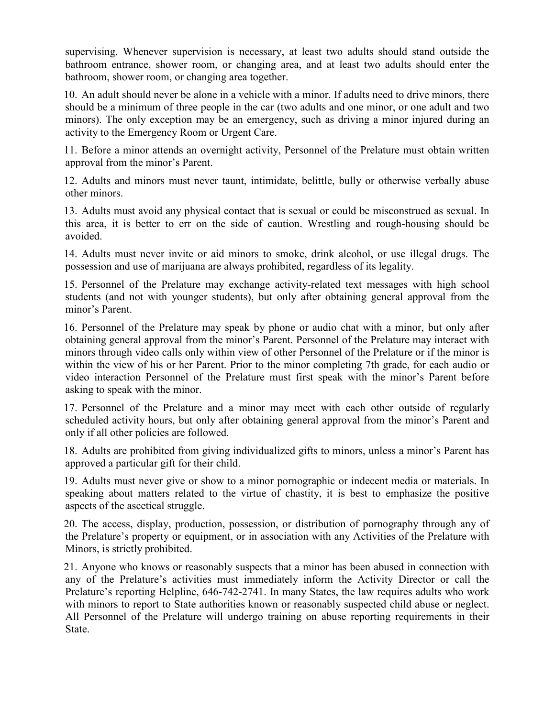supervising. Whenever supervision is necessary, at least two adults should stand outside the bathroom entrance, shower room, or changing area, and at least two adults should enter the bathroom, shower room, or changing area together.

10. An adult should never be alone in a vehicle with a minor. If adults need to drive minors, there should be a minimum of three people in the car (two adults and one minor, or one adult and two minors). The only exception may be an emergency, such as driving a minor injured during an activity to the Emergency Room or Urgent Care.

11. Before a minor attends an overnight activity, Personnel of the Prelature must obtain written approval from the minor's Parent.

12. Adults and minors must never taunt, intimidate, belittle, bully or otherwise verbally abuse other minors.

13. Adults must avoid any physical contact that is sexual or could be misconstrued as sexual. In this area, it is better to err on the side of caution. Wrestling and rough-housing should be avoided.

14. Adults must never invite or aid minors to smoke, drink alcohol, or use illegal drugs. The possession and use of marijuana are always prohibited, regardless of its legality.

15. Personnel of the Prelature may exchange activity-related text messages with high school students (and not with younger students), but only after obtaining general approval from the minor's Parent.

16. Personnel of the Prelature may speak by phone or audio chat with a minor, but only after obtaining general approval from the minor's Parent. Personnel of the Prelature may interact with minors through video calls only within view of other Personnel of the Prelature or if the minor is within the view of his or her Parent. Prior to the minor completing 7th grade, for each audio or video interaction Personnel of the Prelature must first speak with the minor's Parent before asking to speak with the minor.

17. Personnel of the Prelature and a minor may meet with each other outside of regularly scheduled activity hours, but only after obtaining general approval from the minor's Parent and only if all other policies are followed.

18. Adults are prohibited from giving individualized gifts to minors, unless a minor's Parent has approved a particular gift for their child.

19. Adults must never give or show to a minor pornographic or indecent media or materials. In speaking about matters related to the virtue of chastity, it is best to emphasize the positive aspects of the ascetical struggle.

20. The access, display, production, possession, or distribution of pornography through any of the Prelature's property or equipment, or in association with any Activities of the Prelature with Minors, is strictly prohibited.

21. Anyone who knows or reasonably suspects that a minor has been abused in connection with any of the Prelature's activities must immediately inform the Activity Director or call the Prelature's reporting Helpline, 646-742-2741. In many States, the law requires adults who work with minors to report to State authorities known or reasonably suspected child abuse or neglect. All Personnel of the Prelature will undergo training on abuse reporting requirements in their State.